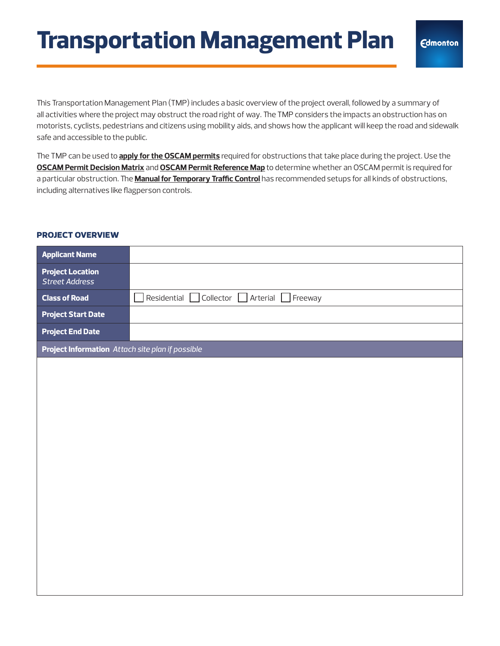This Transportation Management Plan (TMP) includes a basic overview of the project overall, followed by a summary of all activities where the project may obstruct the road right of way. The TMP considers the impacts an obstruction has on motorists, cyclists, pedestrians and citizens using mobility aids, and shows how the applicant will keep the road and sidewalk safe and accessible to the public.

The TMP can be used to **[apply for the OSCAM permits](https://www.edmonton.ca/business_economy/oscam-permit-request)** required for obstructions that take place during the project. Use the **[OSCAM Permit Decision Matrix](https://www.edmonton.ca/sites/default/files/public-files/assets/PDF/OSCAM-Decision-Making-Matrix.pdf)** and **[OSCAM Permit Reference Map](https://www.edmonton.ca/sites/default/files/public-files/assets/PDF/OSCAMPermitReferenceMap_April_2021.pdf)** to determine whether an OSCAM permit is required for a particular obstruction. The **[Manual for Temporary Traffic Control](https://www.edmonton.ca/sites/default/files/public-files/assets/PDF/MTTC_2021.pdf)** has recommended setups for all kinds of obstructions, including alternatives like flagperson controls.

## **project overview**

| <b>Applicant Name</b>                            |                                        |
|--------------------------------------------------|----------------------------------------|
| <b>Project Location</b><br><b>Street Address</b> |                                        |
| <b>Class of Road</b>                             | Residential Collector Arterial Freeway |
| <b>Project Start Date</b>                        |                                        |
| <b>Project End Date</b>                          |                                        |
| Project Information Attach site plan if possible |                                        |
|                                                  |                                        |
|                                                  |                                        |
|                                                  |                                        |
|                                                  |                                        |
|                                                  |                                        |
|                                                  |                                        |
|                                                  |                                        |
|                                                  |                                        |
|                                                  |                                        |
|                                                  |                                        |
|                                                  |                                        |
|                                                  |                                        |
|                                                  |                                        |
|                                                  |                                        |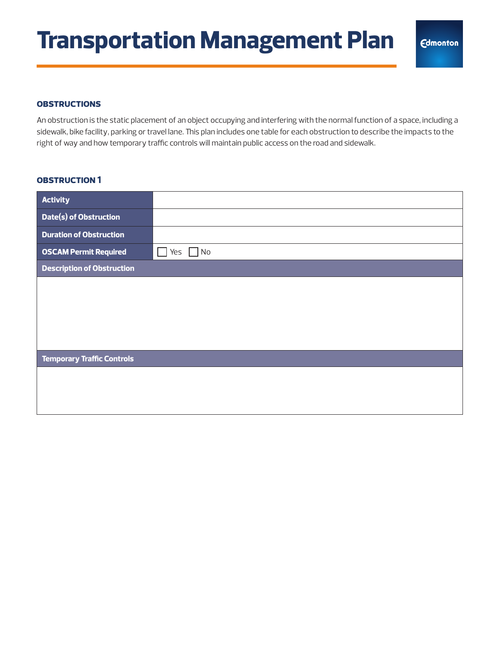#### **obstructions**

An obstruction is the static placement of an object occupying and interfering with the normal function of a space, including a sidewalk, bike facility, parking or travel lane. This plan includes one table for each obstruction to describe the impacts to the right of way and how temporary traffic controls will maintain public access on the road and sidewalk.

| <b>Activity</b>                   |           |
|-----------------------------------|-----------|
| Date(s) of Obstruction            |           |
| <b>Duration of Obstruction</b>    |           |
| <b>OSCAM Permit Required</b>      | Yes<br>No |
| <b>Description of Obstruction</b> |           |
|                                   |           |
|                                   |           |
|                                   |           |
|                                   |           |
| <b>Temporary Traffic Controls</b> |           |
|                                   |           |
|                                   |           |
|                                   |           |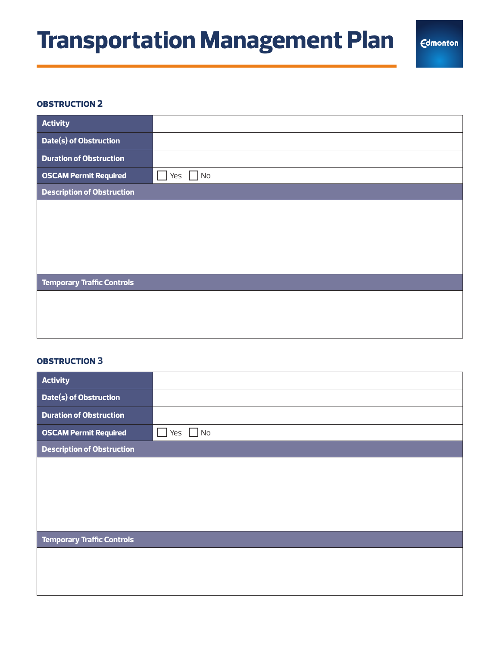#### **obstruction 2**

| <b>Activity</b>                   |                   |
|-----------------------------------|-------------------|
| Date(s) of Obstruction            |                   |
| <b>Duration of Obstruction</b>    |                   |
| <b>OSCAM Permit Required</b>      | Yes<br>$\sqrt{N}$ |
| <b>Description of Obstruction</b> |                   |
|                                   |                   |
|                                   |                   |
|                                   |                   |
|                                   |                   |
|                                   |                   |
| <b>Temporary Traffic Controls</b> |                   |
|                                   |                   |
|                                   |                   |
|                                   |                   |

| <b>Activity</b>                   |           |
|-----------------------------------|-----------|
| Date(s) of Obstruction            |           |
| <b>Duration of Obstruction</b>    |           |
| <b>OSCAM Permit Required</b>      | No<br>Yes |
| <b>Description of Obstruction</b> |           |
|                                   |           |
|                                   |           |
|                                   |           |
|                                   |           |
|                                   |           |
| <b>Temporary Traffic Controls</b> |           |
|                                   |           |
|                                   |           |
|                                   |           |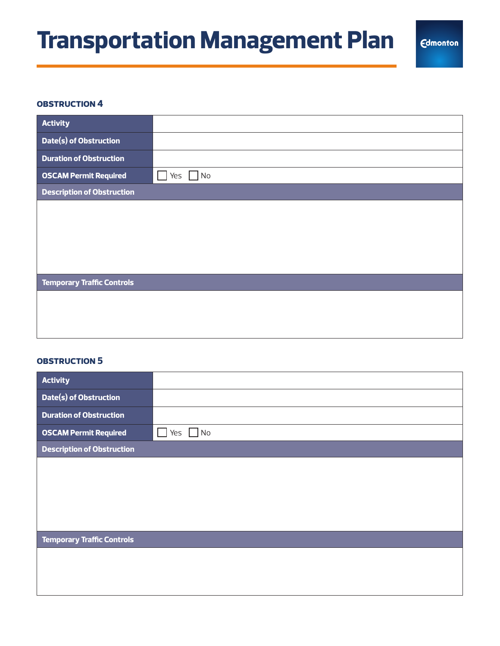#### **obstruction 4**

| <b>Activity</b>                   |               |
|-----------------------------------|---------------|
| Date(s) of Obstruction            |               |
| <b>Duration of Obstruction</b>    |               |
| <b>OSCAM Permit Required</b>      | Yes<br>$\log$ |
| <b>Description of Obstruction</b> |               |
|                                   |               |
|                                   |               |
|                                   |               |
|                                   |               |
|                                   |               |
| <b>Temporary Traffic Controls</b> |               |
|                                   |               |
|                                   |               |
|                                   |               |

| <b>Activity</b>                   |                  |
|-----------------------------------|------------------|
| Date(s) of Obstruction            |                  |
| <b>Duration of Obstruction</b>    |                  |
| <b>OSCAM Permit Required</b>      | $\Box$ No<br>Yes |
| <b>Description of Obstruction</b> |                  |
|                                   |                  |
|                                   |                  |
|                                   |                  |
|                                   |                  |
|                                   |                  |
| <b>Temporary Traffic Controls</b> |                  |
|                                   |                  |
|                                   |                  |
|                                   |                  |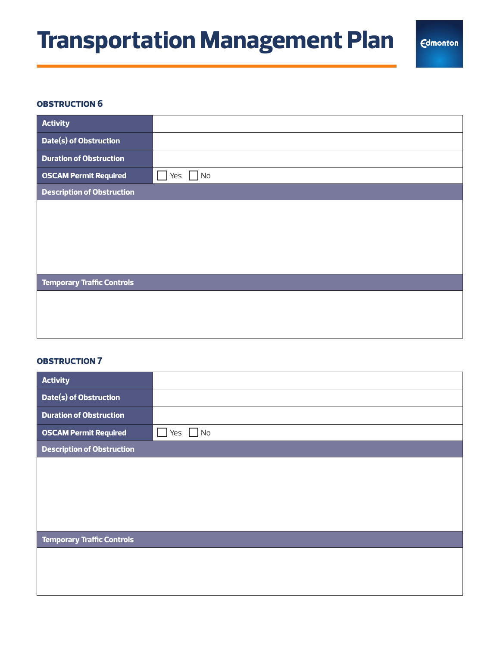#### **obstruction 6**

| <b>Activity</b>                   |           |
|-----------------------------------|-----------|
| Date(s) of Obstruction            |           |
| <b>Duration of Obstruction</b>    |           |
| <b>OSCAM Permit Required</b>      | No<br>Yes |
| <b>Description of Obstruction</b> |           |
|                                   |           |
|                                   |           |
|                                   |           |
|                                   |           |
|                                   |           |
| <b>Temporary Traffic Controls</b> |           |
|                                   |           |
|                                   |           |
|                                   |           |

| <b>Activity</b>                   |           |
|-----------------------------------|-----------|
| Date(s) of Obstruction            |           |
| <b>Duration of Obstruction</b>    |           |
| <b>OSCAM Permit Required</b>      | No<br>Yes |
| <b>Description of Obstruction</b> |           |
|                                   |           |
|                                   |           |
|                                   |           |
|                                   |           |
|                                   |           |
| <b>Temporary Traffic Controls</b> |           |
|                                   |           |
|                                   |           |
|                                   |           |